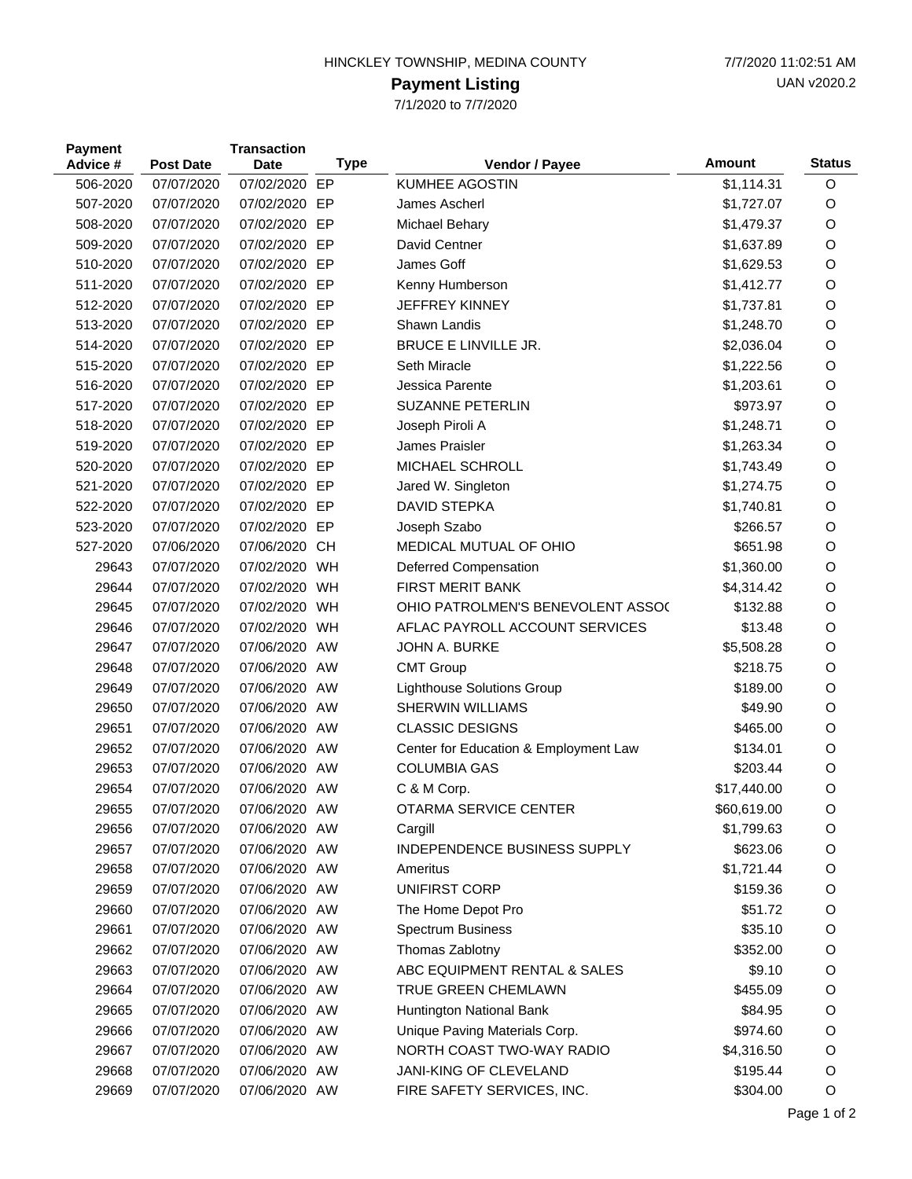## HINCKLEY TOWNSHIP, MEDINA COUNTY 7/7/2020 11:02:51 AM

## **Payment Listing**

7/1/2020 to 7/7/2020

| <b>Payment</b><br>Advice # |          | <b>Post Date</b> | <b>Transaction</b><br>Date | <b>Type</b> | Vendor / Payee                        | <b>Amount</b> | <b>Status</b> |
|----------------------------|----------|------------------|----------------------------|-------------|---------------------------------------|---------------|---------------|
|                            | 506-2020 | 07/07/2020       | 07/02/2020 EP              |             | <b>KUMHEE AGOSTIN</b>                 | \$1,114.31    | O             |
|                            | 507-2020 | 07/07/2020       | 07/02/2020 EP              |             | James Ascherl                         | \$1,727.07    | O             |
|                            | 508-2020 | 07/07/2020       | 07/02/2020 EP              |             | Michael Behary                        | \$1,479.37    | O             |
|                            | 509-2020 | 07/07/2020       | 07/02/2020 EP              |             | David Centner                         | \$1,637.89    | O             |
|                            | 510-2020 | 07/07/2020       | 07/02/2020 EP              |             | James Goff                            | \$1,629.53    | O             |
|                            | 511-2020 | 07/07/2020       | 07/02/2020 EP              |             | Kenny Humberson                       | \$1,412.77    | $\circ$       |
|                            | 512-2020 | 07/07/2020       | 07/02/2020 EP              |             | <b>JEFFREY KINNEY</b>                 | \$1,737.81    | O             |
|                            | 513-2020 | 07/07/2020       | 07/02/2020 EP              |             | Shawn Landis                          | \$1,248.70    | $\circ$       |
|                            | 514-2020 | 07/07/2020       | 07/02/2020 EP              |             | <b>BRUCE E LINVILLE JR.</b>           | \$2,036.04    | O             |
|                            | 515-2020 | 07/07/2020       | 07/02/2020 EP              |             | Seth Miracle                          | \$1,222.56    | $\circ$       |
|                            | 516-2020 | 07/07/2020       | 07/02/2020 EP              |             | Jessica Parente                       | \$1,203.61    | O             |
|                            | 517-2020 | 07/07/2020       | 07/02/2020 EP              |             | <b>SUZANNE PETERLIN</b>               | \$973.97      | O             |
|                            | 518-2020 | 07/07/2020       | 07/02/2020 EP              |             | Joseph Piroli A                       | \$1,248.71    | O             |
|                            | 519-2020 | 07/07/2020       | 07/02/2020 EP              |             | James Praisler                        | \$1,263.34    | $\circ$       |
|                            | 520-2020 | 07/07/2020       | 07/02/2020 EP              |             | MICHAEL SCHROLL                       | \$1,743.49    | O             |
|                            | 521-2020 | 07/07/2020       | 07/02/2020 EP              |             | Jared W. Singleton                    | \$1,274.75    | O             |
|                            | 522-2020 | 07/07/2020       | 07/02/2020 EP              |             | <b>DAVID STEPKA</b>                   | \$1,740.81    | O             |
|                            | 523-2020 | 07/07/2020       | 07/02/2020 EP              |             | Joseph Szabo                          | \$266.57      | O             |
|                            | 527-2020 | 07/06/2020       | 07/06/2020 CH              |             | MEDICAL MUTUAL OF OHIO                | \$651.98      | O             |
|                            | 29643    | 07/07/2020       | 07/02/2020 WH              |             | Deferred Compensation                 | \$1,360.00    | O             |
|                            | 29644    | 07/07/2020       | 07/02/2020 WH              |             | <b>FIRST MERIT BANK</b>               | \$4,314.42    | O             |
|                            | 29645    | 07/07/2020       | 07/02/2020 WH              |             | OHIO PATROLMEN'S BENEVOLENT ASSOC     | \$132.88      | $\circ$       |
|                            | 29646    | 07/07/2020       | 07/02/2020 WH              |             | AFLAC PAYROLL ACCOUNT SERVICES        | \$13.48       | O             |
|                            | 29647    | 07/07/2020       | 07/06/2020 AW              |             | JOHN A. BURKE                         | \$5,508.28    | O             |
|                            | 29648    | 07/07/2020       | 07/06/2020 AW              |             | <b>CMT Group</b>                      | \$218.75      | O             |
|                            | 29649    | 07/07/2020       | 07/06/2020 AW              |             | Lighthouse Solutions Group            | \$189.00      | O             |
|                            | 29650    | 07/07/2020       | 07/06/2020 AW              |             | SHERWIN WILLIAMS                      | \$49.90       | O             |
|                            | 29651    | 07/07/2020       | 07/06/2020 AW              |             | <b>CLASSIC DESIGNS</b>                | \$465.00      | O             |
|                            | 29652    | 07/07/2020       | 07/06/2020 AW              |             | Center for Education & Employment Law | \$134.01      | O             |
|                            | 29653    | 07/07/2020       | 07/06/2020 AW              |             | <b>COLUMBIA GAS</b>                   | \$203.44      | O             |
|                            | 29654    | 07/07/2020       | 07/06/2020 AW              |             | C & M Corp.                           | \$17,440.00   | O             |
|                            | 29655    | 07/07/2020       | 07/06/2020 AW              |             | OTARMA SERVICE CENTER                 | \$60,619.00   | O             |
|                            | 29656    | 07/07/2020       | 07/06/2020 AW              |             | Cargill                               | \$1,799.63    | O             |
|                            | 29657    | 07/07/2020       | 07/06/2020 AW              |             | <b>INDEPENDENCE BUSINESS SUPPLY</b>   | \$623.06      | O             |
|                            | 29658    | 07/07/2020       | 07/06/2020 AW              |             | Ameritus                              | \$1,721.44    | O             |
|                            | 29659    | 07/07/2020       | 07/06/2020 AW              |             | UNIFIRST CORP                         | \$159.36      | O             |
|                            | 29660    | 07/07/2020       | 07/06/2020 AW              |             | The Home Depot Pro                    | \$51.72       | $\circ$       |
|                            | 29661    | 07/07/2020       | 07/06/2020 AW              |             | <b>Spectrum Business</b>              | \$35.10       | O             |
|                            | 29662    | 07/07/2020       | 07/06/2020 AW              |             | Thomas Zablotny                       | \$352.00      | O             |
|                            | 29663    | 07/07/2020       | 07/06/2020 AW              |             | ABC EQUIPMENT RENTAL & SALES          | \$9.10        | O             |
|                            | 29664    | 07/07/2020       | 07/06/2020 AW              |             | TRUE GREEN CHEMLAWN                   | \$455.09      | $\circ$       |
|                            | 29665    | 07/07/2020       | 07/06/2020 AW              |             | Huntington National Bank              | \$84.95       | O             |
|                            | 29666    | 07/07/2020       | 07/06/2020 AW              |             | Unique Paving Materials Corp.         | \$974.60      | O             |
|                            | 29667    | 07/07/2020       | 07/06/2020 AW              |             | NORTH COAST TWO-WAY RADIO             | \$4,316.50    | O             |
|                            | 29668    | 07/07/2020       | 07/06/2020 AW              |             | JANI-KING OF CLEVELAND                | \$195.44      | $\circ$       |
|                            | 29669    | 07/07/2020       | 07/06/2020 AW              |             | FIRE SAFETY SERVICES, INC.            | \$304.00      | O             |